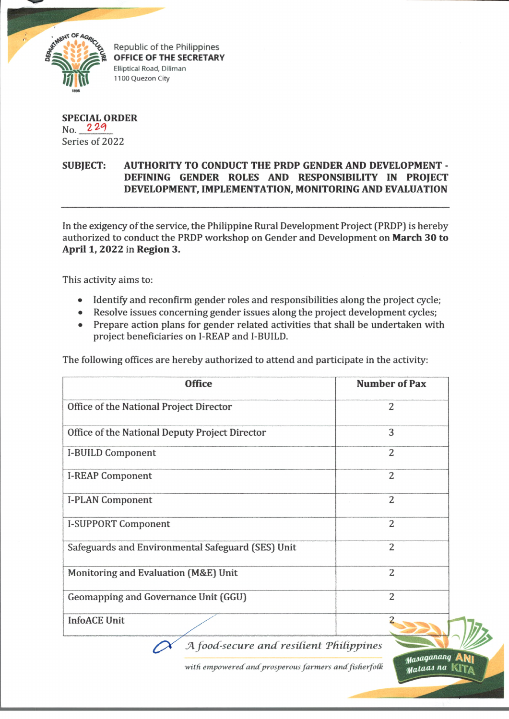

Republic of the Philippines **OFFICE OF THE SECRETARY** Elliptical Road, Diliman 1100 Quezon City

## **SPECIAL ORDER** No. 229 Series of 2022

## **SUBJECT: AUTHORITY TO CONDUCT THE PRDP GENDER AND DEVELOPMENT - DEFINING GENDER ROLES AND RESPONSIBILITY IN PROJECT DEVELOPMENT, IMPLEMENTATION, MONITORING AND EVALUATION \*•**

In the exigency of the service, the Philippine Rural Development Project (PRDP) is hereby authorized to conduct the PRDP workshop on Gender and Development on **March 30 to April 1,2022** in **Region 3.**

This activity aims to:

- Identify and reconfirm gender roles and responsibilities along the project cycle;
- Resolve issues concerning gender issues along the project development cycles;
- Prepare action plans for gender related activities that shall be undertaken with project beneficiaries on I-REAP and I-BUILD.

The following offices are hereby authorized to attend and participate in the activity:

| <b>Office</b>                                     | <b>Number of Pax</b> |
|---------------------------------------------------|----------------------|
| Office of the National Project Director           | $\overline{2}$       |
| Office of the National Deputy Project Director    | 3                    |
| <b>I-BUILD Component</b>                          | $\overline{2}$       |
| <b>I-REAP Component</b>                           | $\overline{2}$       |
| <b>I-PLAN Component</b>                           | $\overline{2}$       |
| <b>I-SUPPORT Component</b>                        | $\overline{2}$       |
| Safeguards and Environmental Safeguard (SES) Unit | $\overline{2}$       |
| Monitoring and Evaluation (M&E) Unit              | $\overline{2}$       |
| Geomapping and Governance Unit (GGU)              | $\overline{2}$       |
| <b>InfoACE Unit</b>                               |                      |

A food-secure and resilient Philippines  $\curvearrowright$ 

with empowered and prosperous farmers and fisherfolk

**ANi**

*tfaiaaj na*

Masaganang